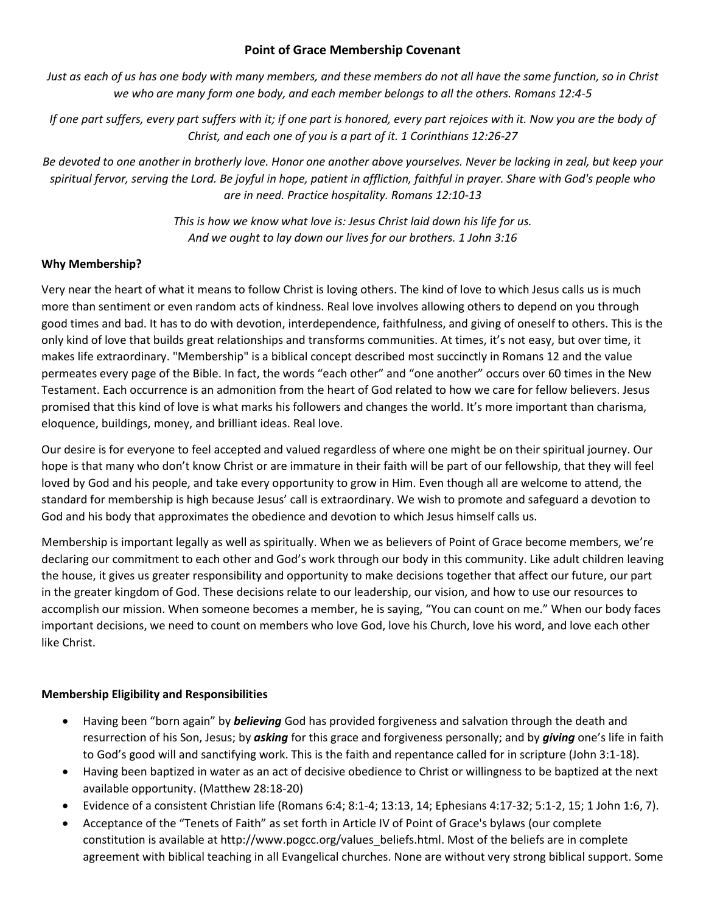## **Point of Grace Membership Covenant**

*Just as each of us has one body with many members, and these members do not all have the same function, so in Christ we who are many form one body, and each member belongs to all the others. Romans 12:4-5*

*If one part suffers, every part suffers with it; if one part is honored, every part rejoices with it. Now you are the body of Christ, and each one of you is a part of it. 1 Corinthians 12:26-27*

*Be devoted to one another in brotherly love. Honor one another above yourselves. Never be lacking in zeal, but keep your spiritual fervor, serving the Lord. Be joyful in hope, patient in affliction, faithful in prayer. Share with God's people who are in need. Practice hospitality. Romans 12:10-13*

> *This is how we know what love is: Jesus Christ laid down his life for us. And we ought to lay down our lives for our brothers. 1 John 3:16*

## **Why Membership?**

Very near the heart of what it means to follow Christ is loving others. The kind of love to which Jesus calls us is much more than sentiment or even random acts of kindness. Real love involves allowing others to depend on you through good times and bad. It has to do with devotion, interdependence, faithfulness, and giving of oneself to others. This is the only kind of love that builds great relationships and transforms communities. At times, it's not easy, but over time, it makes life extraordinary. "Membership" is a biblical concept described most succinctly in Romans 12 and the value permeates every page of the Bible. In fact, the words "each other" and "one another" occurs over 60 times in the New Testament. Each occurrence is an admonition from the heart of God related to how we care for fellow believers. Jesus promised that this kind of love is what marks his followers and changes the world. It's more important than charisma, eloquence, buildings, money, and brilliant ideas. Real love.

Our desire is for everyone to feel accepted and valued regardless of where one might be on their spiritual journey. Our hope is that many who don't know Christ or are immature in their faith will be part of our fellowship, that they will feel loved by God and his people, and take every opportunity to grow in Him. Even though all are welcome to attend, the standard for membership is high because Jesus' call is extraordinary. We wish to promote and safeguard a devotion to God and his body that approximates the obedience and devotion to which Jesus himself calls us.

Membership is important legally as well as spiritually. When we as believers of Point of Grace become members, we're declaring our commitment to each other and God's work through our body in this community. Like adult children leaving the house, it gives us greater responsibility and opportunity to make decisions together that affect our future, our part in the greater kingdom of God. These decisions relate to our leadership, our vision, and how to use our resources to accomplish our mission. When someone becomes a member, he is saying, "You can count on me." When our body faces important decisions, we need to count on members who love God, love his Church, love his word, and love each other like Christ.

## **Membership Eligibility and Responsibilities**

- Having been "born again" by *believing* God has provided forgiveness and salvation through the death and resurrection of his Son, Jesus; by *asking* for this grace and forgiveness personally; and by *giving* one's life in faith to God's good will and sanctifying work. This is the faith and repentance called for in scripture (John 3:1-18).
- Having been baptized in water as an act of decisive obedience to Christ or willingness to be baptized at the next available opportunity. (Matthew 28:18-20)
- Evidence of a consistent Christian life (Romans 6:4; 8:1-4; 13:13, 14; Ephesians 4:17-32; 5:1-2, 15; 1 John 1:6, 7).
- Acceptance of the "Tenets of Faith" as set forth in Article IV of Point of Grace's bylaws (our complete constitution is available at http://www.pogcc.org/values\_beliefs.html. Most of the beliefs are in complete agreement with biblical teaching in all Evangelical churches. None are without very strong biblical support. Some